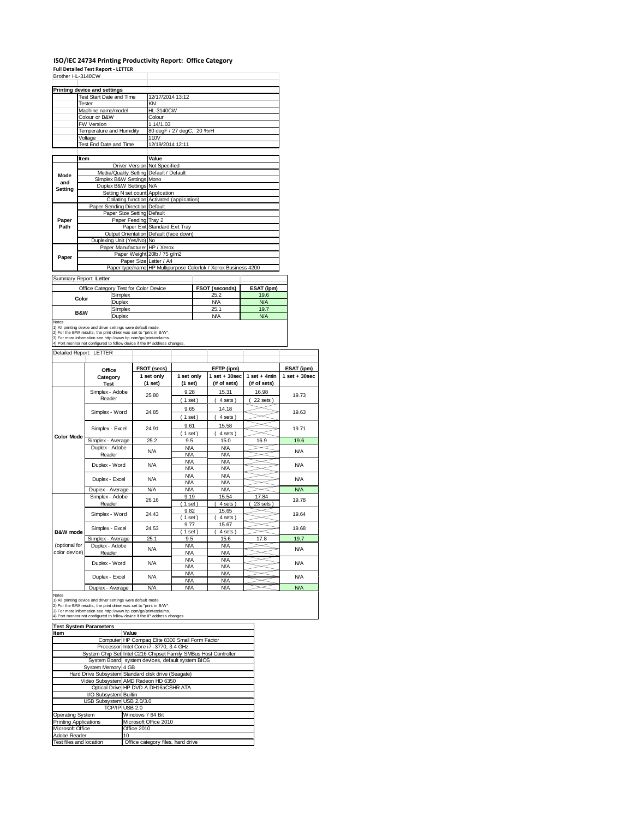# **ISO/IEC 24734 Printing Productivity Report: Office Category Full Detailed Test Report ‐ LETTER**

| Brother HL-3140CW   |                                                                                                                                                                                                                                                 |                                 |                  |                                            |                          |        |                                                                |                 |                                 |
|---------------------|-------------------------------------------------------------------------------------------------------------------------------------------------------------------------------------------------------------------------------------------------|---------------------------------|------------------|--------------------------------------------|--------------------------|--------|----------------------------------------------------------------|-----------------|---------------------------------|
|                     | <b>Printing device and settings</b>                                                                                                                                                                                                             |                                 |                  |                                            |                          |        |                                                                |                 |                                 |
|                     | Test Start Date and Time<br>Tester                                                                                                                                                                                                              |                                 |                  | 12/17/2014 13:12<br>KN                     |                          |        |                                                                |                 |                                 |
|                     | Machine name/model                                                                                                                                                                                                                              |                                 |                  | <b>HL-3140CW</b>                           |                          |        |                                                                |                 |                                 |
|                     | Colour or B&W                                                                                                                                                                                                                                   |                                 |                  | Colour                                     |                          |        |                                                                |                 |                                 |
|                     | FW Version<br>Temperature and Humidity                                                                                                                                                                                                          |                                 |                  | 1.14/1.03                                  |                          |        |                                                                |                 |                                 |
|                     | Voltage                                                                                                                                                                                                                                         |                                 |                  | 80 degF / 27 degC,<br>110V                 |                          | 20 %rH |                                                                |                 |                                 |
|                     | Test End Date and Time                                                                                                                                                                                                                          |                                 | 12/19/2014 12:11 |                                            |                          |        |                                                                |                 |                                 |
|                     |                                                                                                                                                                                                                                                 |                                 |                  |                                            |                          |        |                                                                |                 |                                 |
|                     | Item                                                                                                                                                                                                                                            |                                 |                  | Value                                      |                          |        |                                                                |                 |                                 |
|                     |                                                                                                                                                                                                                                                 |                                 |                  | Driver Version Not Specified               |                          |        |                                                                |                 |                                 |
| Mode                |                                                                                                                                                                                                                                                 | Simplex B&W Settings Mono       |                  | Media/Quality Setting Default / Default    |                          |        |                                                                |                 |                                 |
| and<br>Setting      |                                                                                                                                                                                                                                                 | Duplex B&W Settings N/A         |                  |                                            |                          |        |                                                                |                 |                                 |
|                     |                                                                                                                                                                                                                                                 |                                 |                  | Setting N set count Application            |                          |        |                                                                |                 |                                 |
|                     |                                                                                                                                                                                                                                                 | Paper Sending Direction Default |                  | Collating function Activated (application) |                          |        |                                                                |                 |                                 |
|                     |                                                                                                                                                                                                                                                 | Paper Size Setting Default      |                  |                                            |                          |        |                                                                |                 |                                 |
| Paper               |                                                                                                                                                                                                                                                 | Paper Feeding Tray 2            |                  |                                            |                          |        |                                                                |                 |                                 |
| Path                |                                                                                                                                                                                                                                                 |                                 | Paper Exit       | Standard Exit Tray                         |                          |        |                                                                |                 |                                 |
|                     |                                                                                                                                                                                                                                                 | Duplexing Unit (Yes/No) No      |                  | Output Orientation Default (face down)     |                          |        |                                                                |                 |                                 |
|                     |                                                                                                                                                                                                                                                 |                                 |                  | Paper Manufacturer HP / Xerox              |                          |        |                                                                |                 |                                 |
| Paper               |                                                                                                                                                                                                                                                 |                                 |                  | Paper Weight 20lb / 75 g/m2                |                          |        |                                                                |                 |                                 |
|                     |                                                                                                                                                                                                                                                 |                                 | Paper Size       | Letter / A4                                |                          |        |                                                                |                 |                                 |
|                     |                                                                                                                                                                                                                                                 |                                 |                  |                                            |                          |        | Paper type/name HP Multipurpose Colorlok / Xerox Business 4200 |                 |                                 |
|                     | Summary Report: Letter                                                                                                                                                                                                                          |                                 |                  |                                            |                          |        |                                                                |                 |                                 |
|                     | Office Category Test for Color Device                                                                                                                                                                                                           |                                 |                  |                                            |                          |        | FSOT (seconds)                                                 | ESAT (ipm)      |                                 |
|                     | Color                                                                                                                                                                                                                                           | Simplex                         |                  |                                            |                          |        | 25.2                                                           | 19.6            |                                 |
|                     |                                                                                                                                                                                                                                                 | Duplex                          |                  |                                            |                          |        | <b>N/A</b>                                                     | <b>N/A</b>      |                                 |
|                     | B&W                                                                                                                                                                                                                                             | Simplex<br>Duplex               |                  | 25.1<br><b>N/A</b>                         |                          |        | 19.7<br><b>N/A</b>                                             |                 |                                 |
|                     | 2) For the B/W results, the print driver was set to "print in B/W".<br>3) For more information see http://www.hp.com/go/printerclaims.<br>4) Port monitor not configured to follow device if the IP address changes.<br>Detailed Report: LETTER |                                 |                  |                                            |                          |        |                                                                |                 |                                 |
|                     |                                                                                                                                                                                                                                                 |                                 |                  |                                            |                          |        |                                                                |                 |                                 |
|                     | Office                                                                                                                                                                                                                                          |                                 |                  | FSOT (secs)<br>1 set only                  | 1 set only               |        | EFTP (ipm)<br>$1$ set $+30$ sec                                | $1 set + 4 min$ | ESAT (ipm)<br>$1$ set $+30$ sec |
|                     | Category<br><b>Test</b>                                                                                                                                                                                                                         |                                 |                  | (1 set)                                    | (1 set)                  |        | (# of sets)                                                    | (# of sets)     |                                 |
|                     | Simplex - Adobe                                                                                                                                                                                                                                 |                                 |                  |                                            | 9.28                     |        | 15.31                                                          | 16.98           |                                 |
|                     | Reader                                                                                                                                                                                                                                          |                                 |                  | 25.80                                      | (1 set)                  |        | 4 sets)                                                        | 22 sets)        | 19.73                           |
|                     |                                                                                                                                                                                                                                                 |                                 |                  |                                            | 9.65                     |        | 14.18                                                          |                 |                                 |
|                     | Simplex - Word                                                                                                                                                                                                                                  |                                 |                  | 24.85                                      | (1 set)                  |        | 4 sets)                                                        |                 | 19.63                           |
|                     | Simplex - Excel                                                                                                                                                                                                                                 |                                 |                  | 24.91                                      | 9.61                     |        | 15.58                                                          |                 | 19.71                           |
| <b>Color Mode</b>   |                                                                                                                                                                                                                                                 |                                 |                  |                                            | (1 set)                  |        | 4 sets)                                                        |                 |                                 |
|                     | Simplex - Average                                                                                                                                                                                                                               |                                 |                  | 25.2                                       | 9.5                      |        | 15.0                                                           | 16.9            | 19.6                            |
|                     | Duplex - Adobe<br>Reader                                                                                                                                                                                                                        |                                 |                  | N/A                                        | <b>N/A</b><br><b>N/A</b> |        | <b>N/A</b><br><b>N/A</b>                                       |                 | <b>N/A</b>                      |
|                     |                                                                                                                                                                                                                                                 |                                 |                  |                                            | <b>N/A</b>               |        | <b>N/A</b>                                                     |                 |                                 |
|                     | Duplex - Word                                                                                                                                                                                                                                   |                                 |                  | N/A                                        | <b>N/A</b>               |        | <b>N/A</b>                                                     |                 | <b>N/A</b>                      |
|                     | Duplex - Excel                                                                                                                                                                                                                                  |                                 |                  | <b>N/A</b>                                 | <b>N/A</b>               |        | <b>N/A</b>                                                     |                 | <b>N/A</b>                      |
|                     | Duplex - Average                                                                                                                                                                                                                                |                                 |                  | <b>N/A</b>                                 | <b>N/A</b><br><b>N/A</b> |        | <b>N/A</b><br><b>N/A</b>                                       |                 | <b>N/A</b>                      |
|                     | Simplex - Adobe                                                                                                                                                                                                                                 |                                 |                  |                                            | 9.19                     |        | 15.54                                                          | 17.84           |                                 |
|                     | Reader                                                                                                                                                                                                                                          |                                 |                  | 26.16                                      | $1$ set                  |        | 4 sets                                                         | $23$ sets $)$   | 19.78                           |
|                     | Simplex - Word                                                                                                                                                                                                                                  |                                 |                  | 24.43                                      | 9.82                     |        | 15.65                                                          |                 | 19.64                           |
|                     |                                                                                                                                                                                                                                                 |                                 |                  |                                            | $1$ set<br>9.77          |        | 4 sets<br>15.67                                                |                 |                                 |
| <b>B&amp;W</b> mode | Simplex - Excel                                                                                                                                                                                                                                 |                                 |                  | 24.53                                      | 1 set                    |        | 4 sets                                                         |                 | 19.68                           |
|                     | Simplex - Average                                                                                                                                                                                                                               |                                 |                  | 25.1                                       | 9.5                      |        | 15.6                                                           | 17.8            | 19.7                            |
| (optional for       | Duplex - Adobe                                                                                                                                                                                                                                  |                                 |                  | <b>N/A</b>                                 | <b>N/A</b>               |        | <b>N/A</b>                                                     |                 | <b>N/A</b>                      |
| color device)       | Reader                                                                                                                                                                                                                                          |                                 |                  |                                            | <b>N/A</b>               |        | <b>N/A</b>                                                     |                 |                                 |
|                     | Duplex - Word                                                                                                                                                                                                                                   |                                 |                  | N/A                                        | <b>N/A</b><br><b>N/A</b> |        | <b>N/A</b><br><b>N/A</b>                                       |                 | <b>N/A</b>                      |
|                     |                                                                                                                                                                                                                                                 |                                 |                  |                                            | <b>N/A</b>               |        | <b>N/A</b>                                                     |                 |                                 |
|                     | Duplex - Excel                                                                                                                                                                                                                                  |                                 |                  | N/A                                        | <b>N/A</b>               |        | <b>N/A</b>                                                     |                 | <b>N/A</b>                      |
|                     | Duplex - Average                                                                                                                                                                                                                                |                                 |                  | N/A                                        | <b>N/A</b>               |        | <b>N/A</b>                                                     |                 | <b>N/A</b>                      |

Notes<br>1) All printing device and driver settings were default mode.<br>2) For the B/W results, the print driver was set to "print in B/W".<br>3) For more information see http://www.hp.com/go/printerclaims.<br>4) Port monitor not co

| <b>Test System Parameters</b> |                                                                 |  |  |  |
|-------------------------------|-----------------------------------------------------------------|--|--|--|
| Item                          | Value                                                           |  |  |  |
|                               | Computer HP Compag Elite 8300 Small Form Factor                 |  |  |  |
|                               | Processor Intel Core i7 -3770, 3.4 GHz                          |  |  |  |
|                               | System Chip Set Intel C216 Chipset Family SMBus Host Controller |  |  |  |
|                               | System Board system devices, default system BIOS                |  |  |  |
| System Memory 4 GB            |                                                                 |  |  |  |
|                               | Hard Drive Subsystem Standard disk drive (Seagate)              |  |  |  |
|                               | Video Subsystem AMD Radeon HD 6350                              |  |  |  |
|                               | Optical Drive HP DVD A DH16aCSHR ATA                            |  |  |  |
| I/O Subsystem Builtin         |                                                                 |  |  |  |
| USB Subsystem USB 2.0/3.0     |                                                                 |  |  |  |
|                               | TCP/IP USB 2.0                                                  |  |  |  |
| <b>Operating System</b>       | Windows 7 64 Bit                                                |  |  |  |
| <b>Printing Applications</b>  | Microsoft Office 2010                                           |  |  |  |
| Microsoft Office              | Office 2010                                                     |  |  |  |
| Adobe Reader                  | 10                                                              |  |  |  |
| Test files and location       | Office category files, hard drive                               |  |  |  |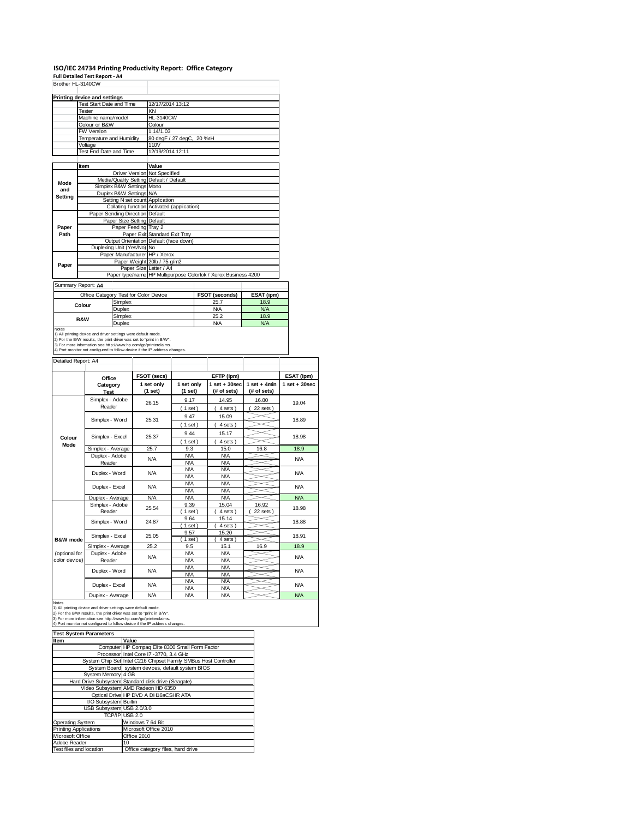## **ISO/IEC 24734 Printing Productivity Report: Office Category**

**Full Detailed Test Report ‐ A4** Brother HL-3140CW

|         | Printing device and settings            |                                                                |
|---------|-----------------------------------------|----------------------------------------------------------------|
|         | Test Start Date and Time                | 12/17/2014 13:12                                               |
|         | Tester                                  | KN                                                             |
|         | Machine name/model                      | <b>HL-3140CW</b>                                               |
|         | Colour or B&W                           | Colour                                                         |
|         | FW Version                              | 1.14/1.03                                                      |
|         | Temperature and Humidity                | 80 degF / 27 degC, 20 %rH                                      |
|         | Voltage                                 | 110V                                                           |
|         | Test End Date and Time                  | 12/19/2014 12:11                                               |
|         |                                         |                                                                |
|         | Item                                    | Value                                                          |
|         | Driver Version Not Specified            |                                                                |
| Mode    | Media/Quality Setting Default / Default |                                                                |
| and     | Simplex B&W Settings Mono               |                                                                |
| Setting | Duplex B&W Settings N/A                 |                                                                |
|         | Setting N set count Application         |                                                                |
|         |                                         | Collating function Activated (application)                     |
|         | Paper Sending Direction Default         |                                                                |
|         | Paper Size Setting Default              |                                                                |
| Paper   | Paper Feeding Tray 2                    |                                                                |
| Path    |                                         | Paper Exit Standard Exit Tray                                  |
|         |                                         | Output Orientation Default (face down)                         |
|         | Duplexing Unit (Yes/No) No              |                                                                |
|         | Paper Manufacturer HP / Xerox           |                                                                |
| Paper   |                                         | Paper Weight 20lb / 75 g/m2                                    |
|         | Paper Size Letter / A4                  |                                                                |
|         |                                         | Paper type/name HP Multipurpose Colorlok / Xerox Business 4200 |

Summary Report: **A4**

| Summary Report: A4 |                                       |                       |            |
|--------------------|---------------------------------------|-----------------------|------------|
|                    | Office Category Test for Color Device | <b>FSOT (seconds)</b> | ESAT (ipm) |
| Colour             | Simplex                               | 25.7                  | 18.9       |
|                    | Duplex                                | <b>N/A</b>            | <b>N/A</b> |
| <b>B&amp;W</b>     | Simplex                               | 25.2                  | 18.9       |
|                    | Duplex                                | N/A                   | <b>N/A</b> |
| Notes              |                                       |                       |            |

Notes<br>1) All printing device and driver settings were default mode.<br>2) For the B/W results, the print driver was set to "print in B/W".<br>3) For more information see http://www.hp.com/go/printerclaims.<br>4) Port monitor not co

| Detailed Report: A4            |                           |                       |                          |                                  |                               |                   |
|--------------------------------|---------------------------|-----------------------|--------------------------|----------------------------------|-------------------------------|-------------------|
|                                | Office                    | FSOT (secs)           |                          | EFTP (ipm)                       |                               | ESAT (ipm)        |
|                                | Category<br><b>Test</b>   | 1 set only<br>(1 set) | 1 set only<br>(1 set)    | $1$ set $+30$ sec<br>(# of sets) | $1$ set + 4min<br>(# of sets) | $1$ set $+30$ sec |
|                                | Simplex - Adobe<br>Reader | 26.15                 | 9.17<br>(1 set)          | 14.95<br>4 sets)                 | 16.80<br>$22$ sets $)$        | 19.04             |
|                                | Simplex - Word            | 25.31                 | 9.47<br>$1$ set)         | 15.09<br>4 sets)                 |                               | 18.89             |
| Colour                         | Simplex - Excel           | 25.37                 | 9.44<br>$1$ set)         | 15.17<br>4 sets)                 |                               | 18.98             |
| Mode                           | Simplex - Average         | 25.7                  | 9.3                      | 15.0                             | 16.8                          | 18.9              |
|                                | Duplex - Adobe<br>Reader  | <b>N/A</b>            | <b>N/A</b><br><b>N/A</b> | <b>N/A</b><br><b>N/A</b>         |                               | <b>N/A</b>        |
|                                | Duplex - Word             | <b>N/A</b>            | <b>N/A</b><br><b>N/A</b> | <b>N/A</b><br><b>N/A</b>         |                               | <b>N/A</b>        |
|                                | Duplex - Excel            | N/A                   | <b>N/A</b><br><b>N/A</b> | <b>N/A</b><br><b>N/A</b>         |                               | <b>N/A</b>        |
|                                | Duplex - Average          | N/A                   | <b>N/A</b>               | <b>N/A</b>                       |                               | <b>N/A</b>        |
|                                | Simplex - Adobe<br>Reader | 25.54                 | 9.39<br>$1$ set)         | 15.04<br>4 sets)                 | 16.92<br>22 sets              | 18.98             |
|                                | Simplex - Word            | 24.87                 | 9.64<br>$1$ set)         | 15.14<br>4 sets)                 |                               | 18.88             |
| B&W mode                       | Simplex - Excel           | 25.05                 | 9.57<br>$1$ set)         | 15.20<br>4 sets)                 |                               | 18.91             |
|                                | Simplex - Average         | 25.2                  | 9.5                      | 15.1                             | 16.9                          | 18.9              |
| (optional for<br>color device) | Duplex - Adobe<br>Reader  | <b>N/A</b>            | <b>N/A</b><br><b>N/A</b> | <b>N/A</b><br><b>N/A</b>         |                               | <b>N/A</b>        |
|                                | Duplex - Word             | N/A                   | <b>N/A</b><br><b>N/A</b> | <b>N/A</b><br><b>N/A</b>         |                               | <b>N/A</b>        |
|                                | Duplex - Excel            | <b>N/A</b>            | <b>N/A</b><br><b>N/A</b> | <b>N/A</b><br><b>N/A</b>         |                               | <b>N/A</b>        |
|                                | Dowless Associate         | <b>NI/A</b>           | <b>NIA</b>               | <b>NIA</b>                       |                               | <b>NIA</b>        |

Notes<br>
1) All printing device and driver settings were default mode.<br>
1) All printing device and driver settings were default mode.<br>
2) For the BAV results, the print driver was set to "print in BAV".<br>
3) For more informat

| <b>Test System Parameters</b> |                                                                 |  |  |  |  |
|-------------------------------|-----------------------------------------------------------------|--|--|--|--|
| Item                          | Value                                                           |  |  |  |  |
|                               | Computer HP Compag Elite 8300 Small Form Factor                 |  |  |  |  |
|                               | Processor Intel Core i7 -3770, 3.4 GHz                          |  |  |  |  |
|                               | System Chip Set Intel C216 Chipset Family SMBus Host Controller |  |  |  |  |
|                               | System Board system devices, default system BIOS                |  |  |  |  |
| System Memory 4 GB            |                                                                 |  |  |  |  |
|                               | Hard Drive Subsystem Standard disk drive (Seagate)              |  |  |  |  |
|                               | Video Subsystem AMD Radeon HD 6350                              |  |  |  |  |
|                               | Optical Drive HP DVD A DH16aCSHR ATA                            |  |  |  |  |
| I/O Subsystem Builtin         |                                                                 |  |  |  |  |
| USB Subsystem USB 2.0/3.0     |                                                                 |  |  |  |  |
|                               | TCP/IP USB 2.0                                                  |  |  |  |  |
| Operating System              | Windows 7 64 Bit                                                |  |  |  |  |
| <b>Printing Applications</b>  | Microsoft Office 2010                                           |  |  |  |  |
| Microsoft Office              | Office 2010                                                     |  |  |  |  |
| Adobe Reader                  | 10                                                              |  |  |  |  |
| Test files and location       | Office category files, hard drive                               |  |  |  |  |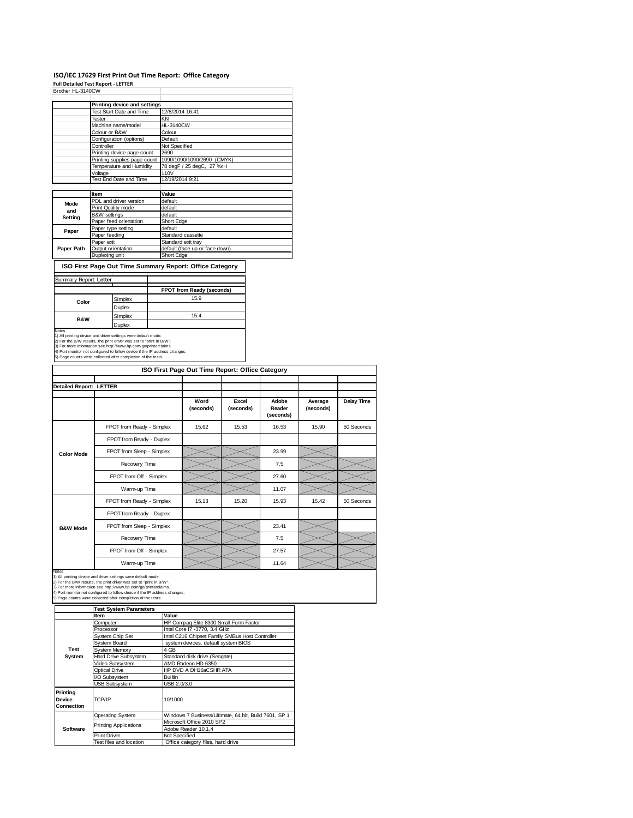## **ISO/IEC 17629 First Print Out Time Report: Office Category Full Detailed Test Report ‐ LETTER** Brother HL-3140CW

| טויטנוסו ווב־טויזטע          |                                 |                                |
|------------------------------|---------------------------------|--------------------------------|
|                              | Printing device and settings    |                                |
|                              |                                 |                                |
|                              | <b>Test Start Date and Time</b> | 12/8/2014 16:41                |
|                              | Tester                          | KΝ                             |
|                              | Machine name/model              | <b>HL-3140CW</b>               |
|                              | Colour or B&W                   | Colour                         |
|                              | Configuration (options)         | Default                        |
|                              | Controller                      | Not Specified                  |
|                              | Printing device page count      | 2690                           |
| Printing supplies page count |                                 | 1090/1090/1090/2690 (CMYK)     |
|                              | Temperature and Humidity        | 78 degF / 25 degC, 27 %rH      |
|                              | Voltage                         | 110V                           |
|                              | Test End Date and Time          | 12/19/2014 9:21                |
|                              |                                 |                                |
|                              | Item                            | Value                          |
| Mode                         | PDL and driver version          | default                        |
| and                          | Print Quality mode              | default                        |
|                              | <b>B&amp;W</b> settings         | default                        |
| Setting                      | Paper feed orientation          | Short Edge                     |
|                              | Paper type setting              | default                        |
| Paper                        | Paper feeding                   | Standard cassette              |
|                              | Paper exit                      | Standard exit tray             |
| Paper Path                   | Outout orientation              | default (face up or face down) |
|                              | Duplexing unit                  | Short Edge                     |

**ISO First Page Out Time Summary Report: Office Category**

|                                                                                                                                                                                                         | FPOT from Ready (seconds)                                                              |
|---------------------------------------------------------------------------------------------------------------------------------------------------------------------------------------------------------|----------------------------------------------------------------------------------------|
| Simplex                                                                                                                                                                                                 | 15.9                                                                                   |
| Duplex                                                                                                                                                                                                  |                                                                                        |
| Simplex                                                                                                                                                                                                 | 15.4                                                                                   |
| Duplex                                                                                                                                                                                                  |                                                                                        |
| 1) All printing device and driver settings were default mode.<br>2) For the B/W results, the print driver was set to "print in B/W".<br>3) For more information see http://www.hp.com/go/printerclaims. | 4) Port monitor not configured to follow device if the IP address changes.             |
|                                                                                                                                                                                                         | Summary Report: Letter<br>5) Page counts were collected after completion of the tests. |

|                                | ISO First Page Out Time Report: Office Category |                   |                    |                              |                      |            |
|--------------------------------|-------------------------------------------------|-------------------|--------------------|------------------------------|----------------------|------------|
| <b>Detailed Report: LETTER</b> |                                                 |                   |                    |                              |                      |            |
|                                |                                                 | Word<br>(seconds) | Excel<br>(seconds) | Adobe<br>Reader<br>(seconds) | Average<br>(seconds) | Delay Time |
|                                | FPOT from Ready - Simplex                       | 15.62             | 15.53              | 16.53                        | 15.90                | 50 Seconds |
|                                | FPOT from Ready - Duplex                        |                   |                    |                              |                      |            |
| <b>Color Mode</b>              | FPOT from Sleep - Simplex                       |                   |                    | 23.99                        |                      |            |
|                                | Recovery Time                                   |                   |                    | 7.5                          |                      |            |
|                                | FPOT from Off - Simplex                         |                   |                    | 27.60                        |                      |            |
|                                | Warm-up Time                                    |                   |                    | 11.07                        |                      |            |
|                                | FPOT from Ready - Simplex                       | 15.13             | 15.20              | 15.93                        | 15.42                | 50 Seconds |
|                                | FPOT from Ready - Duplex                        |                   |                    |                              |                      |            |
| <b>B&amp;W Mode</b>            | FPOT from Sleep - Simplex                       |                   |                    | 23.41                        |                      |            |
|                                | Recovery Time                                   |                   |                    | 7.5                          |                      |            |
|                                | FPOT from Off - Simplex                         |                   |                    | 27.57                        |                      |            |
|                                | Warm-up Time                                    |                   |                    | 11.64                        |                      |            |

Notes<br>1) All printing device and driver settings were default mode.<br>2) For the B/W results, the print driver was set to "print in B/W".<br>3) For more information see http://www.hp.com/go/printerclaims.<br>4) Port monitor not co

|                                         | <b>Test System Parameters</b> |                                                       |  |  |
|-----------------------------------------|-------------------------------|-------------------------------------------------------|--|--|
|                                         | Item                          | Value                                                 |  |  |
|                                         | Computer                      | HP Compaq Elite 8300 Small Form Factor                |  |  |
|                                         | Processor                     | Intel Core i7 -3770, 3.4 GHz                          |  |  |
|                                         | System Chip Set               | Intel C216 Chipset Family SMBus Host Controller       |  |  |
|                                         | Svstem Board                  | system devices, default system BIOS                   |  |  |
| Test                                    | System Memory                 | 4 GB                                                  |  |  |
| System                                  | <b>Hard Drive Subsystem</b>   | Standard disk drive (Seagate)                         |  |  |
|                                         | Video Subsystem               | AMD Radeon HD 6350                                    |  |  |
|                                         | Optical Drive                 | HP DVD A DH16aCSHR ATA                                |  |  |
|                                         | I/O Subsystem                 | <b>Builtin</b>                                        |  |  |
|                                         | <b>USB Subsystem</b>          | USB 2.0/3.0                                           |  |  |
| Printing<br>Device<br><b>Connection</b> | TCP/IP                        | 10/1000                                               |  |  |
|                                         | <b>Operating System</b>       | Windows 7 Business/Ultimate, 64 bit, Build 7601, SP 1 |  |  |
|                                         | <b>Printing Applications</b>  | Microsoft Office 2010 SP2                             |  |  |
| Software                                |                               | Adobe Reader 10.1.4                                   |  |  |
|                                         | <b>Print Driver</b>           | Not Specified                                         |  |  |
|                                         | Test files and location       | Office category files, hard drive                     |  |  |